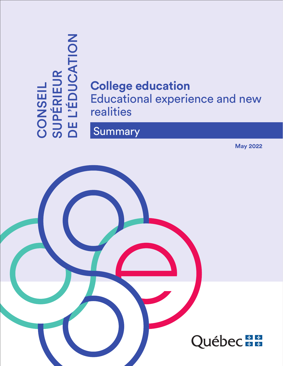

# **College education** Educational experience and new realities

# **Summary**

**May 2022**

Québec<sup>\*\*</sup>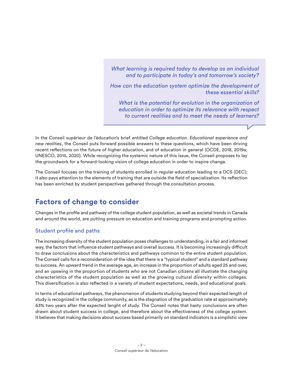*What learning is required today to develop as an individual and to participate in today's and tomorrow's society?* 

*How can the education system optimize the development of these essential skills?* 

*What is the potential for evolution in the organization of education in order to optimize its relevance with respect to current realities and to meet the needs of learners?*

In the Conseil supérieur de l'éducation's brief entitled *College education. Educational experience and new realities*, the Conseil puts forward possible answers to these questions, which have been driving recent reflections on the future of higher education, and of education in general (OCDE, 2018, 2019a; UNESCO, 2015, 2020). While recognizing the systemic nature of this issue, the Conseil proposes to lay the groundwork for a forward-looking vision of college education in order to inspire change.

The Conseil focuses on the training of students enrolled in regular education leading to a DCS (DEC); it also pays attention to the elements of training that are outside the field of specialization. Its reflection has been enriched by student perspectives gathered through the consultation process.

#### **Factors of change to consider**

Changes in the profile and pathway of the college student population, as well as societal trends in Canada and around the world, are putting pressure on education and training programs and prompting action.

#### Student profile and paths

The increasing diversity of the student population poses challenges to understanding, in a fair and informed way, the factors that influence student pathways and overall success. It is becoming increasingly difficult to draw conclusions about the characteristics and pathways common to the entire student population. The Conseil calls for a reconsideration of the idea that there is a "typical student" and a standard pathway to success. An upward trend in the average age, an increase in the proportion of adults aged 25 and over, and an upswing in the proportion of students who are not Canadian citizens all illustrate the changing characteristics of the student population as well as the growing cultural diversity within colleges. This diversification is also reflected in a variety of student expectations, needs, and educational goals.

In terms of educational pathways, the phenomenon of students studying beyond their expected length of study is recognized in the college community, as is the stagnation of the graduation rate at approximately 63% two years after the expected lenght of study. The Conseil notes that hasty conclusions are often drawn about student success in college, and therefore about the effectiveness of the college system. It believes that making decisions about success based primarily on standard indicators is a simplistic view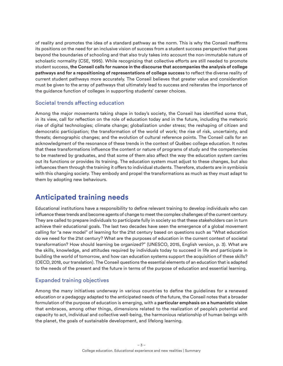of reality and promotes the idea of a standard pathway as the norm. This is why the Conseil reaffirms its positions on the need for an inclusive vision of success from a student success perspective that goes beyond the boundaries of schooling and that also truly takes into account the non-immutable nature of scholastic normality (CSE, 1995). While recognizing that collective efforts are still needed to promote student success, **the Conseil calls for nuance in the discourse that accompanies the analysis of college pathways and for a repositioning of representations of college success** to reflect the diverse reality of current student pathways more accurately. The Conseil believes that greater value and consideration must be given to the array of pathways that ultimately lead to success and reiterates the importance of the guidance function of colleges in supporting students' career choices.

#### Societal trends affecting education

Among the major movements taking shape in today's society, the Conseil has identified some that, in its view, call for reflection on the role of education today and in the future, including the meteoric rise of digital technologies; climate change; globalization under stress; the reshaping of citizen and democratic participation; the transformation of the world of work; the rise of risk, uncertainty, and threats; demographic changes; and the evolution of cultural reference points. The Conseil calls for an acknowledgment of the resonance of these trends in the context of Québec college education. It notes that these transformations influence the content or nature of programs of study and the competencies to be mastered by graduates, and that some of them also affect the way the education system carries out its functions or provides its training. The education system must adjust to these changes, but also influences them through the training it offers to individual students. Therefore, students are in symbiosis with this changing society. They embody and propel the transformations as much as they must adapt to them by adopting new behaviours.

# **Anticipated training needs**

Educational institutions have a responsibility to define relevant training to develop individuals who can influence these trends and become agents of change to meet the complex challenges of the current century. They are called to prepare individuals to participate fully in society so that these stakeholders can in turn achieve their educational goals. The last two decades have seen the emergence of a global movement calling for "a new model" of learning for the 21st century based on questions such as "What education do we need for the 21st century? What are the purposes of education in the current context of societal transformation? How should learning be organized?" (UNESCO, 2015, English version, p. 3). What are the skills, knowledge, and attitudes required by individuals today to succeed in life and participate in building the world of tomorrow, and how can education systems support the acquisition of these skills? (OECD, 2018, our translation). The Conseil questions the essential elements of an education that is adapted to the needs of the present and the future in terms of the purpose of education and essential learning.

#### Expanded training objectives

Among the many initiatives underway in various countries to define the guidelines for a renewed education or a pedagogy adapted to the anticipated needs of the future, the Conseil notes that a broader formulation of the purpose of education is emerging, with a **particular emphasis on a humanistic vision**  that embraces, among other things, dimensions related to the realization of people's potential and capacity to act, individual and collective well-being, the harmonious relationship of human beings with the planet, the goals of sustainable development, and lifelong learning.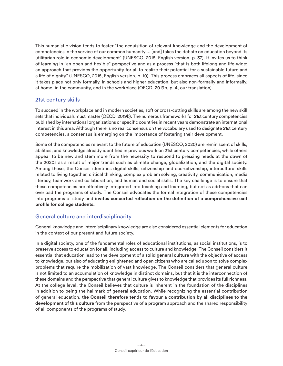This humanistic vision tends to foster "the acquisition of relevant knowledge and the development of competencies in the service of our common humanity ... [and] takes the debate on education beyond its utilitarian role in economic development" (UNESCO, 2015, English version, p. 37). It invites us to think of learning in "an open and flexible" perspective and as a process "that is both lifelong and life-wide: an approach that provides the opportunity for all to realize their potential for a sustainable future and a life of dignity" (UNESCO, 2015, English version, p. 10). This process embraces all aspects of life, since it takes place not only formally, in schools and higher education, but also non-formally and informally, at home, in the community, and in the workplace (OECD, 2019b, p. 4, our translation).

#### 21st century skills

To succeed in the workplace and in modern societies, soft or cross-cutting skills are among the new skill sets that individuals must master (OECD, 2019b). The numerous frameworks for 21st century competencies published by international organizations or specific countries in recent years demonstrate an international interest in this area. Although there is no real consensus on the vocabulary used to designate 21st century competencies, a consensus is emerging on the importance of fostering their development.

Some of the competencies relevant to the future of education (UNESCO, 2020) are reminiscent of skills, abilities, and knowledge already identified in previous work on 21st century competencies, while others appear to be new and stem more from the necessity to respond to pressing needs at the dawn of the 2020s as a result of major trends such as climate change, globalization, and the digital society. Among these, the Conseil identifies digital skills, citizenship and eco-citizenship, intercultural skills related to living together, critical thinking, complex problem solving, creativity, communication, media literacy, teamwork and collaboration, and human and social skills. The key challenge is to ensure that these competencies are effectively integrated into teaching and learning, but not as add-ons that can overload the programs of study. The Conseil advocates the formal integration of these competencies into programs of study and **invites concerted reflection on the definition of a comprehensive exit profile for college students.**

#### General culture and interdisciplinarity

General knowledge and interdisciplinary knowledge are also considered essential elements for education in the context of our present and future society.

In a digital society, one of the fundamental roles of educational institutions, as social institutions, is to preserve access to education for all, including access to culture and knowledge. The Conseil considers it essential that education lead to the development of a **solid general culture** with the objective of access to knowledge, but also of educating enlightened and open citizens who are called upon to solve complex problems that require the mobilization of vast knowledge. The Conseil considers that general culture is not limited to an accumulation of knowledge in distinct domains, but that it is the interconnection of these domains and the perspective that general culture gives to knowledge that provides its full richness. At the college level, the Conseil believes that culture is inherent in the foundation of the disciplines in addition to being the hallmark of general education. While recognizing the essential contribution of general education, **the Conseil therefore tends to favour a contribution by all disciplines to the development of this culture** from the perspective of a program approach and the shared responsibility of all components of the programs of study.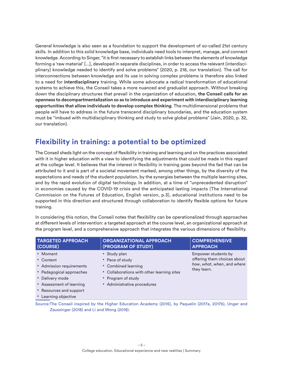General knowledge is also seen as a foundation to support the development of so-called 21st century skills. In addition to this solid knowledge base, individuals need tools to interpret, manage, and connect knowledge. According to Singer, "it is first necessary to establish links between the elements of knowledge forming a 'raw material' [...], developed in separate disciplines, in order to access the relevant (interdisciplinary) knowledge needed to identify and solve problems" (2020, p. 218, our translation). The call for interconnections between knowledge and its use in solving complex problems is therefore also linked to a need for **interdisciplinary** training. While some advocate a radical transformation of educational systems to achieve this, the Conseil takes a more nuanced and gradualist approach. Without breaking down the disciplinary structures that prevail in the organization of education, **the Conseil calls for an openness to decompartmentalization so as to introduce and experiment with interdisciplinary learning opportunities that allow individuals to develop complex thinking**. The multidimensional problems that people will have to address in the future transcend disciplinary boundaries, and the education system must be "imbued with multidisciplinary thinking and study to solve global problems" (Jain, 2020, p. 32, our translation).

# **Flexibility in training: a potential to be optimized**

The Conseil sheds light on the concept of flexibility in training and learning and on the practices associated with it in higher education with a view to identifying the adjustments that could be made in this regard at the college level. It believes that the interest in flexibility in training goes beyond the fad that can be attributed to it and is part of a societal movement marked, among other things, by the diversity of the expectations and needs of the student population, by the synergies between the multiple learning sites, and by the rapid evolution of digital technology. In addition, at a time of "unprecedented disruption" in economies caused by the COVID-19 crisis and the anticipated lasting impacts (The International Commission on the Futures of Education, English version, p.3), educational institutions need to be supported in this direction and structured through collaboration to identify flexible options for future training.

In considering this notion, the Conseil notes that flexibility can be operationalized through approaches at different levels of intervention: a targeted approach at the course level, an organizational approach at the program level, and a comprehensive approach that integrates the various dimensions of flexibility.

| <b>TARGETED APPROACH</b>                                                                                                                                                        | <b>ORGANIZATIONAL APPROACH</b>                                                                                                                            | <b>COMPREHENSIVE</b>                                                                            |
|---------------------------------------------------------------------------------------------------------------------------------------------------------------------------------|-----------------------------------------------------------------------------------------------------------------------------------------------------------|-------------------------------------------------------------------------------------------------|
| (COURSE)                                                                                                                                                                        | (PROGRAM OF STUDY)                                                                                                                                        | <b>APPROACH</b>                                                                                 |
| • Moment<br>• Content<br>• Admission requirements<br>• Pedagogical approaches<br>• Delivery mode<br>• Assessment of learning<br>• Resources and support<br>• Learning objective | • Study plan<br>• Pace of study<br>• Combined learning<br>• Collaborations with other learning sites<br>• Program of study<br>• Administrative procedures | Empower students by<br>offering them choices about<br>how, what, when, and where<br>they learn. |

Source:The Conseil inspired by the Higher Education Academy (2015), by Paquelin (2017a, 2017b), Unger and Zaussinger (2018) and Li and Wong (2018).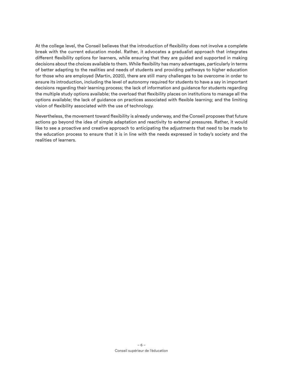At the college level, the Conseil believes that the introduction of flexibility does not involve a complete break with the current education model. Rather, it advocates a gradualist approach that integrates different flexibility options for learners, while ensuring that they are guided and supported in making decisions about the choices available to them. While flexibility has many advantages, particularly in terms of better adapting to the realities and needs of students and providing pathways to higher education for those who are employed (Martin, 2020), there are still many challenges to be overcome in order to ensure its introduction, including the level of autonomy required for students to have a say in important decisions regarding their learning process; the lack of information and guidance for students regarding the multiple study options available; the overload that flexibility places on institutions to manage all the options available; the lack of guidance on practices associated with flexible learning; and the limiting vision of flexibility associated with the use of technology.

Nevertheless, the movement toward flexibility is already underway, and the Conseil proposes that future actions go beyond the idea of simple adaptation and reactivity to external pressures. Rather, it would like to see a proactive and creative approach to anticipating the adjustments that need to be made to the education process to ensure that it is in line with the needs expressed in today's society and the realities of learners.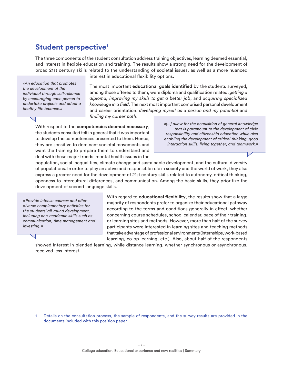#### **Student perspective1**

The three components of the student consultation address training objectives, learning deemed essential, and interest in flexible education and training. The results show a strong need for the development of broad 21st century skills related to the understanding of societal issues, as well as a more nuanced

*«An education that promotes the development of the individual through self-reliance by encouraging each person to undertake projects and adopt a healthy life balance.»*

interest in educational flexibility options.

The most important **educational goals identified** by the students surveyed, among those offered to them, were diploma and qualification related: *getting a diploma, improving my skills to get a better job*, and *acquiring specialized knowledge in a field*. The next most important comprised personal development and career orientation: *developing myself as a person and my potential* and *finding my career path*.

With respect to the **competencies deemed necessary**, the students consulted felt in general that it was important to develop the competencies presented to them. Hence, they are sensitive to dominant societal movements and want the training to prepare them to understand and deal with these major trends: mental health issues in the

*«[...] allow for the acquisition of general knowledge that is paramount to the development of civic responsibility and citizenship education while also enabling the development of critical thinking, good interaction skills, living together, and teamwork.»*

population, social inequalities, climate change and sustainable development, and the cultural diversity of populations. In order to play an active and responsible role in society and the world of work, they also express a greater need for the development of 21st century skills related to autonomy, critical thinking, openness to intercultural differences, and communication. Among the basic skills, they prioritize the development of second language skills.

*«Provide intense courses and offer diverse complementary activities for the students' all-round development, including non-academic skills such as communication, time management and investing. »*

With regard to **educational flexibility**, the results show that a large majority of respondents prefer to organize their educational pathway according to the terms and conditions generally in effect, whether concerning course schedules, school calendar, pace of their training, or learning sites and methods. However, more than half of the survey participants were interested in learning sites and teaching methods that take advantage of professional environments (internships, work-based learning, co-op learning, etc.). Also, about half of the respondents

showed interest in blended learning, while distance learning, whether synchronous or asynchronous, received less interest.

1 Details on the consultation process, the sample of respondents, and the survey results are provided in the documents included with this position paper.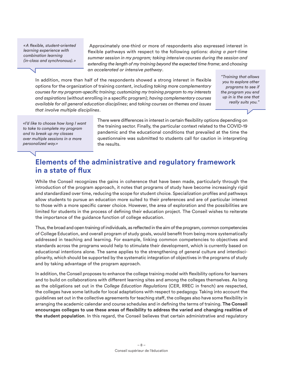*«A flexible, student-oriented learning experience with combination learning (in-class and synchronous). »*

 Approximately one-third or more of respondents also expressed interest in flexible pathways with respect to the following options: *doing a part-time summer session in my program; taking intensive courses during the session and extending the length of my training beyond the expected time frame*; and *choosing an accelerated or intensive pathway*.

In addition, more than half of the respondents showed a strong interest in flexible options for the organization of training content, including *taking more complementary courses for my program-specific training; customizing my training program to my interests and aspirations* (without enrolling in a specific program); *having complementary courses available for all general education disciplines*; and *taking courses on themes and issues that involve multiple disciplines*.

*"Training that allows you to explore other programs to see if the program you end up in is the one that really suits you."*

*«I'd like to choose how long I want to take to complete my program and to break up my classes over multiple sessions in a more personalized way.»*

There were differences in interest in certain flexibility options depending on the training sector. Finally, the particular context related to the COVID-19 pandemic and the educational conditions that prevailed at the time the questionnaire was submitted to students call for caution in interpreting the results.

#### **Elements of the administrative and regulatory framework in a state of flux**

While the Conseil recognizes the gains in coherence that have been made, particularly through the introduction of the program approach, it notes that programs of study have become increasingly rigid and standardized over time, reducing the scope for student choice. Specialization profiles and pathways allow students to pursue an education more suited to their preferences and are of particular interest to those with a more specific career choice. However, the area of exploration and the possibilities are limited for students in the process of defining their education project. The Conseil wishes to reiterate the importance of the guidance function of college education.

Thus, the broad and open training of individuals, as reflected in the aim of the program, common competencies of College Education, and overall program of study goals, would benefit from being more systematically addressed in teaching and learning. For example, linking common competencies to objectives and standards across the programs would help to stimulate their development, which is currently based on educational intentions alone. The same applies to the strengthening of general culture and interdisciplinarity, which should be supported by the systematic integration of objectives in the programs of study and by taking advantage of the program approach.

In addition, the Conseil proposes to enhance the college training model with flexibility options for learners and to build on collaborations with different learning sites and among the colleges themselves. As long as the obligations set out in the *College Education Regulations* (CER, RREC in french) are respected, the colleges have some latitude for local adaptations with respect to pedagogy. Taking into account the guidelines set out in the collective agreements for teaching staff, the colleges also have some flexibility in arranging the academic calendar and course schedules and in defining the terms of training. **The Conseil encourages colleges to use these areas of flexibility to address the varied and changing realities of the student population**. In this regard, the Conseil believes that certain administrative and regulatory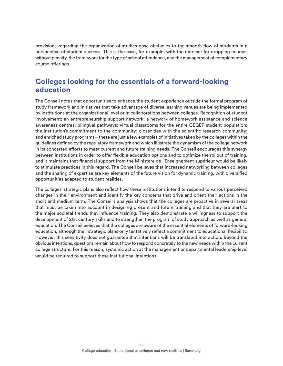provisions regarding the organization of studies pose obstacles to the smooth flow of students in a perspective of student success. This is the case, for example, with the date set for dropping courses without penalty, the framework for the type of school attendance, and the management of complementary course offerings.

#### **Colleges looking for the essentials of a forward-looking education**

The Conseil notes that opportunities to enhance the student experience outside the formal program of study framework and initiatives that take advantage of diverse learning venues are being implemented by institutions at the organizational level or in collaborations between colleges. Recognition of student involvement; an entrepreneurship support network; a network of homework assistance and science awareness centres; bilingual pathways; virtual classrooms for the entire CEGEP student population; the institution's commitment to the community; closer ties with the scientific research community; and enriched study programs – these are just a few examples of initiatives taken by the colleges within the guidelines defined by the regulatory framework and which illustrate the dynamism of the college network in its concerted efforts to meet current and future training needs. The Conseil encourages this synergy between institutions in order to offer flexible education options and to optimize the rollout of training, and it maintains that financial support from the Ministère de l'Enseignement supérieur would be likely to stimulate practices in this regard. The Conseil believes that increased networking between colleges and the sharing of expertise are key elements of the future vision for dynamic training, with diversified opportunities adapted to student realities.

The colleges' strategic plans also reflect how these institutions intend to respond to various perceived changes in their environment and identify the key concerns that drive and orient their actions in the short and medium term. The Conseil's analysis shows that the colleges are proactive in several areas that must be taken into account in designing present and future training and that they are alert to the major societal trends that influence training. They also demonstrate a willingness to support the development of 21st century skills and to strengthen the program of study approach as well as general education. The Conseil believes that the colleges are aware of the essential elements of forward-looking education, although their strategic plans only tentatively reflect a commitment to educational flexibility. However, this sensitivity does not guarantee that intentions will be translated into action. Beyond the obvious intentions, questions remain about how to respond concretely to the new needs within the current college structure. For this reason, systemic action at the management or departmental leadership level would be required to support these institutional intentions.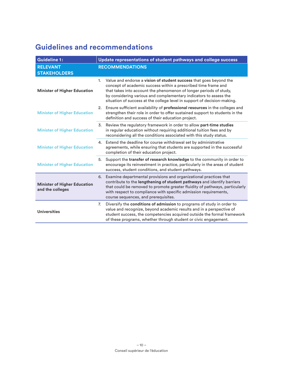# **Guidelines and recommendations**

| <b>Guideline 1:</b>                                     | Update representations of student pathways and college success                                                                                                                                                                                                                                                                                                    |  |
|---------------------------------------------------------|-------------------------------------------------------------------------------------------------------------------------------------------------------------------------------------------------------------------------------------------------------------------------------------------------------------------------------------------------------------------|--|
| <b>RELEVANT</b><br><b>STAKEHOLDERS</b>                  | <b>RECOMMENDATIONS</b>                                                                                                                                                                                                                                                                                                                                            |  |
| <b>Minister of Higher Education</b>                     | Value and endorse a vision of student success that goes beyond the<br>1.<br>concept of academic success within a prescribed time frame and<br>that takes into account the phenomenon of longer periods of study,<br>by considering various and complementary indicators to assess the<br>situation of success at the college level in support of decision-making. |  |
| <b>Minister of Higher Education</b>                     | Ensure sufficient availability of professional resources in the colleges and<br>2.<br>strengthen their role in order to offer sustained support to students in the<br>definition and success of their education project.                                                                                                                                          |  |
| <b>Minister of Higher Education</b>                     | Review the regulatory framework in order to allow part-time studies<br>3.<br>in regular education without requiring additional tuition fees and by<br>reconsidering all the conditions associated with this study status.                                                                                                                                         |  |
| <b>Minister of Higher Education</b>                     | Extend the deadline for course withdrawal set by administrative<br>4.<br>agreements, while ensuring that students are supported in the successful<br>completion of their education project.                                                                                                                                                                       |  |
| <b>Minister of Higher Education</b>                     | Support the transfer of research knowledge to the community in order to<br>5.<br>encourage its reinvestment in practice, particularly in the areas of student<br>success, student conditions, and student pathways.                                                                                                                                               |  |
| <b>Minister of Higher Education</b><br>and the colleges | 6. Examine departmental provisions and organizational practices that<br>contribute to the lengthening of student pathways and identify barriers<br>that could be removed to promote greater fluidity of pathways, particularly<br>with respect to compliance with specific admission requirements,<br>course sequences, and prerequisites.                        |  |
| <b>Universities</b>                                     | Diversify the conditions of admission to programs of study in order to<br>7.<br>value and recognize, beyond academic results and in a perspective of<br>student success, the competencies acquired outside the formal framework<br>of these programs, whether through student or civic engagement.                                                                |  |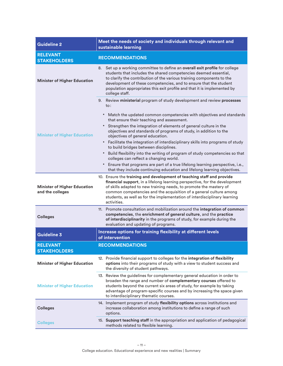| <b>Guideline 2</b>                                      | Meet the needs of society and individuals through relevant and<br>sustainable learning                                                                                                                                                                                                                                                                                                            |  |
|---------------------------------------------------------|---------------------------------------------------------------------------------------------------------------------------------------------------------------------------------------------------------------------------------------------------------------------------------------------------------------------------------------------------------------------------------------------------|--|
| <b>RELEVANT</b><br><b>STAKEHOLDERS</b>                  | <b>RECOMMENDATIONS</b>                                                                                                                                                                                                                                                                                                                                                                            |  |
| <b>Minister of Higher Education</b>                     | 8. Set up a working committee to define an <b>overall exit profile</b> for college<br>students that includes the shared competencies deemed essential,<br>to clarify the contribution of the various training components to the<br>development of these competencies, and to ensure that the student<br>population appropriates this exit profile and that it is implemented by<br>college staff. |  |
| <b>Minister of Higher Education</b>                     | 9. Review ministerial program of study development and review processes<br>$\mathsf{to}$ :                                                                                                                                                                                                                                                                                                        |  |
|                                                         | Match the updated common competencies with objectives and standards<br>٠<br>that ensure their teaching and assessment.                                                                                                                                                                                                                                                                            |  |
|                                                         | Strengthen the integration of elements of general culture in the<br>objectives and standards of programs of study, in addition to the<br>objectives of general education.                                                                                                                                                                                                                         |  |
|                                                         | • Facilitate the integration of interdisciplinary skills into programs of study<br>to build bridges between disciplines.                                                                                                                                                                                                                                                                          |  |
|                                                         | Build flexibility into the writing of program of study competencies so that<br>٠<br>colleges can reflect a changing world.                                                                                                                                                                                                                                                                        |  |
|                                                         | Ensure that programs are part of a true lifelong learning perspective, i.e.,<br>$\bullet$<br>that they include continuing education and lifelong learning objectives.                                                                                                                                                                                                                             |  |
| <b>Minister of Higher Education</b><br>and the colleges | 10. Ensure the training and development of teaching staff and provide<br>financial support, in a lifelong learning perspective, for the development<br>of skills adapted to new training needs, to promote the mastery of<br>common competencies and the acquisition of a general culture among<br>students, as well as for the implementation of interdisciplinary learning<br>activities.       |  |
| <b>Colleges</b>                                         | 11. Promote consultation and mobilization around the integration of common<br>competencies, the enrichment of general culture, and the practice<br>of interdisciplinarity in the programs of study, for example during the<br>evaluation and updating of programs.                                                                                                                                |  |
| <b>Guideline 3</b>                                      | Increase options for training flexibility at different levels<br>of intervention                                                                                                                                                                                                                                                                                                                  |  |
| <b>RELEVANT</b><br><b>STAKEHOLDERS</b>                  | <b>RECOMMENDATIONS</b>                                                                                                                                                                                                                                                                                                                                                                            |  |
| <b>Minister of Higher Education</b>                     | 12. Provide financial support to colleges for the integration of flexibility<br>options into their programs of study with a view to student success and<br>the diversity of student pathways.                                                                                                                                                                                                     |  |
| <b>Minister of Higher Education</b>                     | 13. Review the guidelines for complementary general education in order to<br>broaden the range and number of complementary courses offered to<br>students beyond the current six areas of study, for example by taking<br>advantage of program-specific courses and by increasing the space given<br>to interdisciplinary thematic courses.                                                       |  |
| <b>Colleges</b>                                         | 14. Implement program of study flexibility options across institutions and<br>increase collaboration among institutions to define a range of such<br>options.                                                                                                                                                                                                                                     |  |
| <b>Colleges</b>                                         | 15. Support teaching staff in the appropriation and application of pedagogical<br>methods related to flexible learning.                                                                                                                                                                                                                                                                           |  |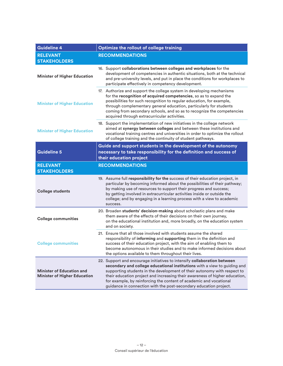| <b>Guideline 4</b>                                                      | Optimize the rollout of college training                                                                                                                                                                                                                                                                                                                                                                                                                    |  |
|-------------------------------------------------------------------------|-------------------------------------------------------------------------------------------------------------------------------------------------------------------------------------------------------------------------------------------------------------------------------------------------------------------------------------------------------------------------------------------------------------------------------------------------------------|--|
| <b>RELEVANT</b>                                                         | <b>RECOMMENDATIONS</b>                                                                                                                                                                                                                                                                                                                                                                                                                                      |  |
| <b>STAKEHOLDERS</b>                                                     |                                                                                                                                                                                                                                                                                                                                                                                                                                                             |  |
| <b>Minister of Higher Education</b>                                     | 16. Support collaborations between colleges and workplaces for the<br>development of competencies in authentic situations, both at the technical<br>and pre-university levels, and put in place the conditions for workplaces to<br>participate effectively in competency development.                                                                                                                                                                      |  |
| <b>Minister of Higher Education</b>                                     | 17. Authorize and support the college system in developing mechanisms<br>for the recognition of acquired competencies, so as to expand the<br>possibilities for such recognition to regular education, for example,<br>through complementary general education, particularly for students<br>coming from secondary schools, and so as to recognize the competencies<br>acquired through extracurricular activities.                                         |  |
| <b>Minister of Higher Education</b>                                     | 18. Support the implementation of new initiatives in the college network<br>aimed at synergy between colleges and between these institutions and<br>vocational training centres and universities in order to optimize the rollout<br>of college training and the continuity of student pathways.                                                                                                                                                            |  |
|                                                                         | Guide and support students in the development of the autonomy                                                                                                                                                                                                                                                                                                                                                                                               |  |
| <b>Guideline 5</b>                                                      | necessary to take responsibility for the definition and success of<br>their education project                                                                                                                                                                                                                                                                                                                                                               |  |
| <b>RELEVANT</b>                                                         | <b>RECOMMENDATIONS</b>                                                                                                                                                                                                                                                                                                                                                                                                                                      |  |
| <b>STAKEHOLDERS</b>                                                     |                                                                                                                                                                                                                                                                                                                                                                                                                                                             |  |
| <b>College students</b>                                                 | 19. Assume full responsibility for the success of their education project, in<br>particular by becoming informed about the possibilities of their pathway;<br>by making use of resources to support their progress and success;<br>by getting involved in extracurricular activities inside or outside the<br>college; and by engaging in a learning process with a view to academic<br>success.                                                            |  |
| <b>College communities</b>                                              | 20. Broaden students' decision-making about scholastic plans and make<br>them aware of the effects of their decisions on their own journey,<br>on the educational institution and, more broadly, on the education system<br>and on society.                                                                                                                                                                                                                 |  |
| <b>College communities</b>                                              | 21. Ensure that all those involved with students assume the shared<br>responsibility of informing and supporting them in the definition and<br>success of their education project, with the aim of enabling them to<br>become autonomous in their studies and to make informed decisions about<br>the options available to them throughout their lives.                                                                                                     |  |
| <b>Minister of Education and</b><br><b>Minister of Higher Education</b> | 22. Support and encourage initiatives to intensify collaboration between<br>secondary and college educational institutions with a view to guiding and<br>supporting students in the development of their autonomy with respect to<br>their education project and increasing their awareness of higher education,<br>for example, by reinforcing the content of academic and vocational<br>guidance in connection with the post-secondary education project. |  |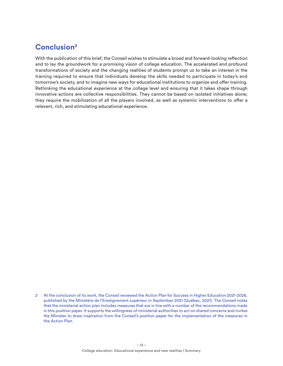# **Conclusion2**

With the publication of this brief, the Conseil wishes to stimulate a broad and forward-looking reflection and to lay the groundwork for a promising vision of college education. The accelerated and profound transformations of society and the changing realities of students prompt us to take an interest in the training required to ensure that individuals develop the skills needed to participate in today's and tomorrow's society, and to imagine new ways for educational institutions to organize and offer training. Rethinking the educational experience at the college level and ensuring that it takes shape through innovative actions are collective responsibilities. They cannot be based on isolated initiatives alone; they require the mobilization of all the players involved, as well as systemic interventions to offer a relevant, rich, and stimulating educational experience.

<sup>2</sup> At the conclusion of its work, the Conseil reviewed the Action Plan for Success in Higher Education 2021-2026, published by the Ministère de l'Enseignement supérieur in September 2021 (Québec, 2021). The Conseil notes that the ministerial action plan includes measures that are in line with a number of the recommendations made in this position paper. It supports the willingness of ministerial authorities to act on shared concerns and invites the Minister to draw inspiration from the Conseil's position paper for the implementation of the measures in the Action Plan.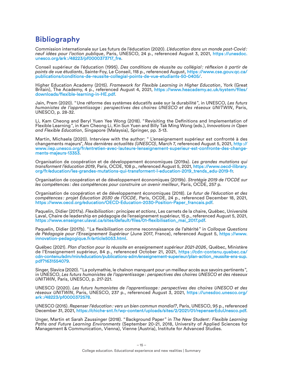### **Bibliography**

Commission internationale sur Les futurs de l'éducation (2020). *L'éducation dans un monde post-Covid: neuf idées pour l'action publique*, Paris, UNESCO, 24 p., referenced August 3, 2021, [https ://unesdoc.](https://unesdoc.unesco.org/ark:/48223/pf0000373717_fre) [unesco.org/ark :/48223/pf0000373717\\_fre](https://unesdoc.unesco.org/ark:/48223/pf0000373717_fre).

Conseil supérieur de l'éducation (1995). *Des conditions de réussite au collégial: réflexion à partir de points de vue étudiants*, Sainte-Foy, Le Conseil, 118 p., referenced August, [https ://www.cse.gouv.qc.ca/](https://www.cse.gouv.qc.ca/publications/conditions-de-reussite-collegial-points-de-vue-etudiants-50-0405/) [publications/conditions-de-reussite-collegial-points-de-vue-etudiants-50-0405/](https://www.cse.gouv.qc.ca/publications/conditions-de-reussite-collegial-points-de-vue-etudiants-50-0405/).

Higher Education Academy (2015). *Framework for Flexible Learning in Higher Education*, York (Great Britain), The Academy, 4 p., referenced August 4, 2021, https://www.heacademy.ac.uk/system/files/ [downloads/flexible-learning-in-HE.pdf.](https://www.heacademy.ac.uk/system/files/downloads/flexible-learning-in-HE.pdf)

Jain, Prem (2020). "Une réforme des systèmes éducatifs axée sur la durabilité", in UNESCO, *Les futurs humanistes de l'apprentissage : perspectives des chaires UNESCO et des réseaux UNITWIN*, Paris, UNESCO, p. 28-32.

Li, Kam Cheong and Beryl Yuen Yee Wong (2018). "Revisiting the Definitions and Implementation of Flexible Learning", in Kam Cheong Li, Kin Sun Yuen and Billy Tak Ming Wong (eds.), *Innovations in Open and Flexible Education*, Singapore (Malaysia), Springer, pp. 3-13.

Martin, Michaela (2020). Interview with the author: " L'enseignement supérieur est confronté à des changements majeurs", *Nos dernières actualités (UNESCO)*, March 7, referenced August 5, 2021, [http ://](http://www.iiep.unesco.org/fr/entretien-avec-lauteure-lenseignement-superieur-est-confronte-des-changements-majeurs-13353) [www.iiep.unesco.org/fr/entretien-avec-lauteure-lenseignement-superieur-est-confronte-des-change](http://www.iiep.unesco.org/fr/entretien-avec-lauteure-lenseignement-superieur-est-confronte-des-changements-majeurs-13353)[ments-majeurs-13353](http://www.iiep.unesco.org/fr/entretien-avec-lauteure-lenseignement-superieur-est-confronte-des-changements-majeurs-13353).

Organisation de coopération et de développement économiques (2019a). *Les grandes mutations qui transforment l'éducation 2019*, Paris, OCDE, 108 p., referenced August 5, 2021, [https ://www.oecd-ilibrary.](https://www.oecd-ilibrary.org/fr/education/les-grandes-mutations-qui-transforment-l-education-2019_trends_edu-2019-fr) [org/fr/education/les-grandes-mutations-qui-transforment-l-education-2019\\_trends\\_edu-2019-fr.](https://www.oecd-ilibrary.org/fr/education/les-grandes-mutations-qui-transforment-l-education-2019_trends_edu-2019-fr)

Organisation de coopération et de développement économiques (2019b). *Stratégie 2019 de l'OCDE sur les compétences : des compétences pour construire un avenir meilleur*, Paris, OCDE, 257 p.

Organisation de coopération et de développement économiques (2018). *Le futur de l'éducation et des compétences : projet Éducation 2030 de l'OCDE*, Paris, OCDE, 24 p., referenced December 18, 2021, [https ://www.oecd.org/education/OECD-Education-2030-Position-Paper\\_francais.pdf.](https://www.oecd.org/education/OECD-Education-2030-Position-Paper_francais.pdf)

Paquelin, Didier (2017a). *Flexibilisation: principes et actions*, Les carnets de la chaire, Québec, Université Laval, Chaire de leadership en pédagogie de l'enseignement supérieur, 15 p., referenced August 5, 2021, [https ://www.enseigner.ulaval.ca/sites/default/files/01-flexibilisation\\_mai\\_2017.pdf.](https://www.enseigner.ulaval.ca/sites/default/files/01-flexibilisation_mai_2017.pdf)

Paquelin, Didier (2017b). "La flexibilisation comme reconnaissance de l'altérité" in *Colloque Questions de Pédagogie pour l'Enseignement Supérieur* (June 2017, France), referenced August 5, [https ://www.](https://www.innovation-pedagogique.fr/article5053.html) [innovation-pedagogique.fr/article5053.html](https://www.innovation-pedagogique.fr/article5053.html).

Québec (2021). *Plan d'action pour la réussite en enseignement supérieur 2021-2026*, Québec, Ministère de l'Enseignement supérieur, 84 p., referenced October 21, 2021, https://cdn-contenu.quebec.ca/ [cdn-contenu/adm/min/education/publications-adm/enseignement-superieur/plan-action\\_reussite-ens-sup.](https://cdn-contenu.quebec.ca/cdn-contenu/adm/min/education/publications-adm/enseignement-superieur/plan-action_reussite-ens-sup.pdf?1631554079) [pdf?1631554079.](https://cdn-contenu.quebec.ca/cdn-contenu/adm/min/education/publications-adm/enseignement-superieur/plan-action_reussite-ens-sup.pdf?1631554079)

Singer, Slavica (2020). "La polymathie, le chaînon manquant pour un meilleur accès aux savoirs pertinents", in UNESCO, *Les futurs humanistes de l'apprentissage: perspectives des chaires UNESCO et des réseaux UNITWIN*, Paris, UNESCO, p. 217-221.

UNESCO (2020). *Les futurs humanistes de l'apprentissage : perspectives des chaires UNESCO et des réseaux UNITWIN*, Paris, UNESCO, 237 p., referenced August 3, 2021, [https ://unesdoc.unesco.org/](https://unesdoc.unesco.org/ark:/48223/pf0000372578) [ark :/48223/pf0000372578.](https://unesdoc.unesco.org/ark:/48223/pf0000372578)

UNESCO (2015). *Repenser l'éducation: vers un bien commun mondial?*, Paris, UNESCO, 95 p., referenced December 31, 2021, [https://chiche-snt.fr/wp-content/uploads/sites/2/2021/01/repenserEduUnesco.pdf.](https://chiche-snt.fr/wp-content/uploads/sites/2/2021/01/repenserEduUnesco.pdf)

Unger, Martin et Sarah Zaussinger (2018). "Background Paper" in *The New Student: Flexible Learning Paths and Future Learning Environments* (September 20-21, 2018, University of Applied Sciences for Management & Communication, Vienna), Vienne (Austria), Institute for Advanced Studies.